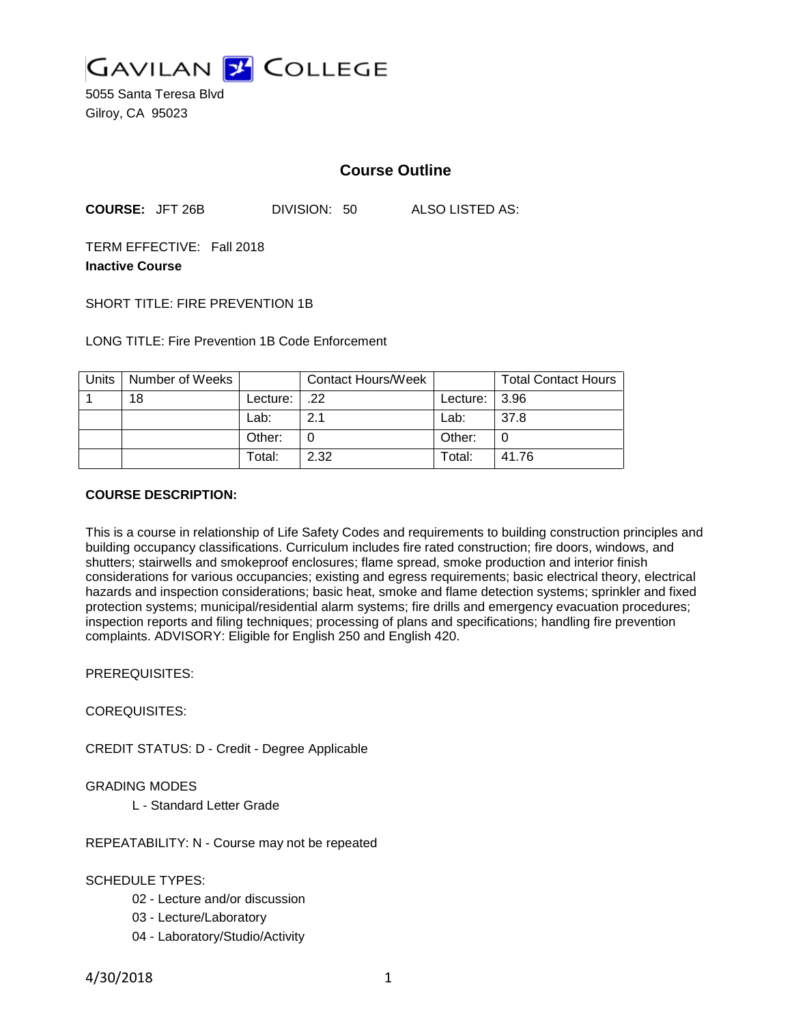

5055 Santa Teresa Blvd Gilroy, CA 95023

## **Course Outline**

**COURSE:** JFT 26B DIVISION: 50 ALSO LISTED AS:

TERM EFFECTIVE: Fall 2018 **Inactive Course**

SHORT TITLE: FIRE PREVENTION 1B

LONG TITLE: Fire Prevention 1B Code Enforcement

| Units | Number of Weeks |            | <b>Contact Hours/Week</b> |                   | <b>Total Contact Hours</b> |
|-------|-----------------|------------|---------------------------|-------------------|----------------------------|
|       | 18              | Lecture: I | $\cdot$ .22               | Lecture: $ 3.96 $ |                            |
|       |                 | Lab:       | 2.1                       | Lab:              | 37.8                       |
|       |                 | Other:     |                           | Other:            |                            |
|       |                 | Total:     | 2.32                      | Total:            | 41.76                      |

#### **COURSE DESCRIPTION:**

This is a course in relationship of Life Safety Codes and requirements to building construction principles and building occupancy classifications. Curriculum includes fire rated construction; fire doors, windows, and shutters; stairwells and smokeproof enclosures; flame spread, smoke production and interior finish considerations for various occupancies; existing and egress requirements; basic electrical theory, electrical hazards and inspection considerations; basic heat, smoke and flame detection systems; sprinkler and fixed protection systems; municipal/residential alarm systems; fire drills and emergency evacuation procedures; inspection reports and filing techniques; processing of plans and specifications; handling fire prevention complaints. ADVISORY: Eligible for English 250 and English 420.

PREREQUISITES:

COREQUISITES:

CREDIT STATUS: D - Credit - Degree Applicable

#### GRADING MODES

L - Standard Letter Grade

REPEATABILITY: N - Course may not be repeated

SCHEDULE TYPES:

- 02 Lecture and/or discussion
- 03 Lecture/Laboratory
- 04 Laboratory/Studio/Activity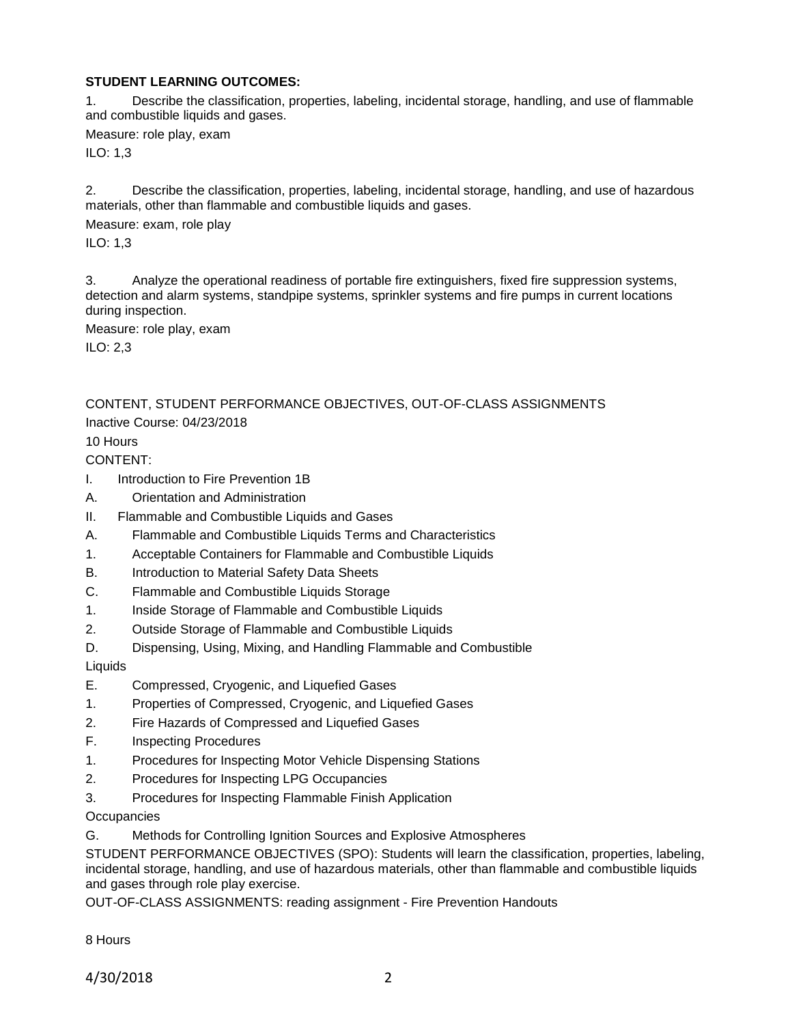#### **STUDENT LEARNING OUTCOMES:**

1. Describe the classification, properties, labeling, incidental storage, handling, and use of flammable and combustible liquids and gases.

Measure: role play, exam

ILO: 1,3

2. Describe the classification, properties, labeling, incidental storage, handling, and use of hazardous materials, other than flammable and combustible liquids and gases.

Measure: exam, role play

ILO: 1,3

3. Analyze the operational readiness of portable fire extinguishers, fixed fire suppression systems, detection and alarm systems, standpipe systems, sprinkler systems and fire pumps in current locations during inspection.

Measure: role play, exam

ILO: 2,3

CONTENT, STUDENT PERFORMANCE OBJECTIVES, OUT-OF-CLASS ASSIGNMENTS

Inactive Course: 04/23/2018

10 Hours

CONTENT:

- I. Introduction to Fire Prevention 1B
- A. Orientation and Administration
- II. Flammable and Combustible Liquids and Gases
- A. Flammable and Combustible Liquids Terms and Characteristics
- 1. Acceptable Containers for Flammable and Combustible Liquids
- B. Introduction to Material Safety Data Sheets
- C. Flammable and Combustible Liquids Storage
- 1. Inside Storage of Flammable and Combustible Liquids
- 2. Outside Storage of Flammable and Combustible Liquids
- D. Dispensing, Using, Mixing, and Handling Flammable and Combustible

Liquids

- E. Compressed, Cryogenic, and Liquefied Gases
- 1. Properties of Compressed, Cryogenic, and Liquefied Gases
- 2. Fire Hazards of Compressed and Liquefied Gases
- F. Inspecting Procedures
- 1. Procedures for Inspecting Motor Vehicle Dispensing Stations
- 2. Procedures for Inspecting LPG Occupancies
- 3. Procedures for Inspecting Flammable Finish Application

**Occupancies** 

G. Methods for Controlling Ignition Sources and Explosive Atmospheres

STUDENT PERFORMANCE OBJECTIVES (SPO): Students will learn the classification, properties, labeling, incidental storage, handling, and use of hazardous materials, other than flammable and combustible liquids and gases through role play exercise.

OUT-OF-CLASS ASSIGNMENTS: reading assignment - Fire Prevention Handouts

8 Hours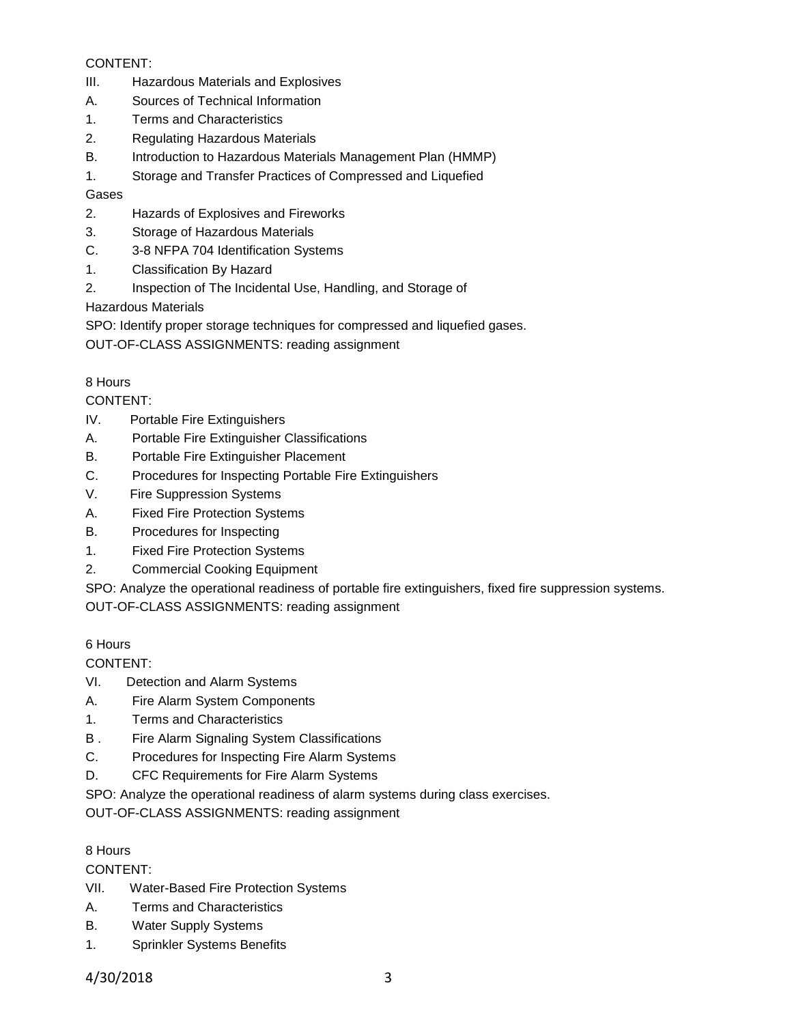### CONTENT:

- III. Hazardous Materials and Explosives
- A. Sources of Technical Information
- 1. Terms and Characteristics
- 2. Regulating Hazardous Materials
- B. Introduction to Hazardous Materials Management Plan (HMMP)
- 1. Storage and Transfer Practices of Compressed and Liquefied

## Gases

- 2. Hazards of Explosives and Fireworks
- 3. Storage of Hazardous Materials
- C. 3-8 NFPA 704 Identification Systems
- 1. Classification By Hazard
- 2. Inspection of The Incidental Use, Handling, and Storage of

Hazardous Materials

SPO: Identify proper storage techniques for compressed and liquefied gases.

OUT-OF-CLASS ASSIGNMENTS: reading assignment

## 8 Hours

CONTENT:

- IV. Portable Fire Extinguishers
- A. Portable Fire Extinguisher Classifications
- B. Portable Fire Extinguisher Placement
- C. Procedures for Inspecting Portable Fire Extinguishers
- V. Fire Suppression Systems
- A. Fixed Fire Protection Systems
- B. Procedures for Inspecting
- 1. Fixed Fire Protection Systems
- 2. Commercial Cooking Equipment

SPO: Analyze the operational readiness of portable fire extinguishers, fixed fire suppression systems.

OUT-OF-CLASS ASSIGNMENTS: reading assignment

## 6 Hours

CONTENT:

- VI. Detection and Alarm Systems
- A. Fire Alarm System Components
- 1. Terms and Characteristics
- B . Fire Alarm Signaling System Classifications
- C. Procedures for Inspecting Fire Alarm Systems
- D. CFC Requirements for Fire Alarm Systems

SPO: Analyze the operational readiness of alarm systems during class exercises.

OUT-OF-CLASS ASSIGNMENTS: reading assignment

## 8 Hours

CONTENT:

- VII. Water-Based Fire Protection Systems
- A. Terms and Characteristics
- B. Water Supply Systems
- 1. Sprinkler Systems Benefits

4/30/2018 3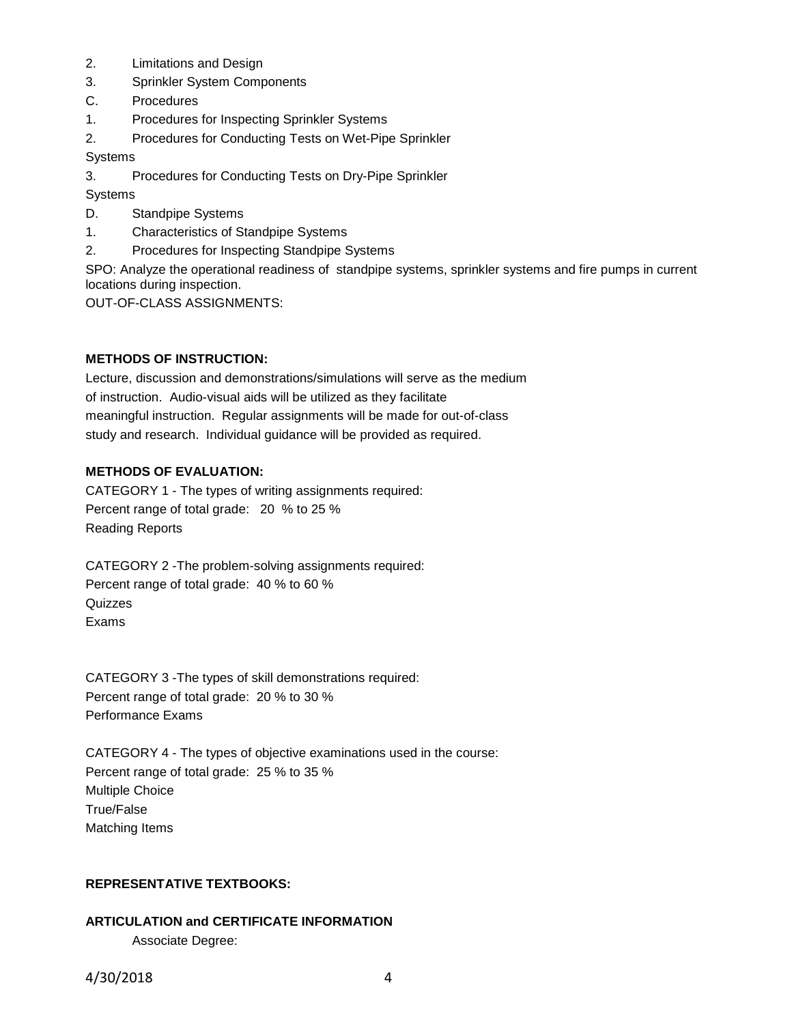- 2. Limitations and Design
- 3. Sprinkler System Components
- C. Procedures
- 1. Procedures for Inspecting Sprinkler Systems
- 2. Procedures for Conducting Tests on Wet-Pipe Sprinkler

Systems

3. Procedures for Conducting Tests on Dry-Pipe Sprinkler

**Systems** 

- D. Standpipe Systems
- 1. Characteristics of Standpipe Systems
- 2. Procedures for Inspecting Standpipe Systems

SPO: Analyze the operational readiness of standpipe systems, sprinkler systems and fire pumps in current locations during inspection.

OUT-OF-CLASS ASSIGNMENTS:

#### **METHODS OF INSTRUCTION:**

Lecture, discussion and demonstrations/simulations will serve as the medium of instruction. Audio-visual aids will be utilized as they facilitate meaningful instruction. Regular assignments will be made for out-of-class study and research. Individual guidance will be provided as required.

#### **METHODS OF EVALUATION:**

CATEGORY 1 - The types of writing assignments required: Percent range of total grade: 20 % to 25 % Reading Reports

CATEGORY 2 -The problem-solving assignments required: Percent range of total grade: 40 % to 60 % **Quizzes** Exams

CATEGORY 3 -The types of skill demonstrations required: Percent range of total grade: 20 % to 30 % Performance Exams

CATEGORY 4 - The types of objective examinations used in the course: Percent range of total grade: 25 % to 35 % Multiple Choice True/False Matching Items

#### **REPRESENTATIVE TEXTBOOKS:**

# **ARTICULATION and CERTIFICATE INFORMATION** Associate Degree: